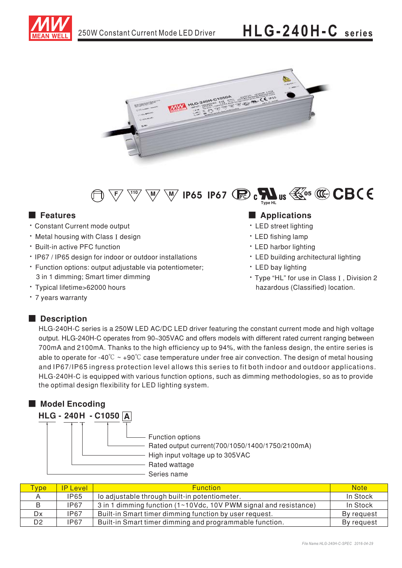





## ■ Features

- \* Constant Current mode output
- Metal housing with Class I design
- Built-in active PFC function
- IP67 / IP65 design for indoor or outdoor installations
- Function options: output adjustable via potentiometer; 3 in 1 dimming; Smart timer dimming
- Typical lifetime>62000 hours
- 7 years warranty

### ■ **Description**

## ■

- LED street lighting
- LED fishing lamp
- LED harbor lighting
- LED building architectural lighting
- LED bay lighting
- Type "HL" for use in Class I, Division 2 hazardous (Classified) location.

HLG-240H-C series is a 250W LED AC/DC LED driver featuring the constant current mode and high voltage HLG-240H-C series is a 250W LED AC/DC LED driver reaturing the constant current mode and nigh voltage<br>output. HLG-240H-C operates from 90~305VAC and offers models with different rated current ranging between 700mA and 2100mA. Thanks to the high efficiency up to 94%, with the fanless design, the entire series is able to operate for -40°C  $\sim$  +90°C case temperature under free air convection. The design of metal housing and IP67/IP65 ingress protection level allows this series to fit both indoor and outdoor applications. HLG-240H-C is equipped with various function options, such as dimming methodologies, so as to provide the optimal design flexibility for LED lighting system.

# ■ **Model Encoding** <code>HLG - 240H - C1050 <u>|A</u></code> Rated output current(700/1050/1400/1750/2100mA) Rated wattage High input voltage up to 305VAC Series name Function options

| <b>Type</b> | <b>IP Level</b> | <b>Function</b>                                                  | <b>Note</b> |
|-------------|-----------------|------------------------------------------------------------------|-------------|
|             | <b>IP65</b>     | lo adjustable through built-in potentiometer.                    | In Stock    |
|             | <b>IP67</b>     | 3 in 1 dimming function (1~10Vdc, 10V PWM signal and resistance) | In Stock    |
| Dx          | <b>IP67</b>     | Built-in Smart timer dimming function by user request.           | By request  |
| D2          | <b>IP67</b>     | Built-in Smart timer dimming and programmable function.          | By request  |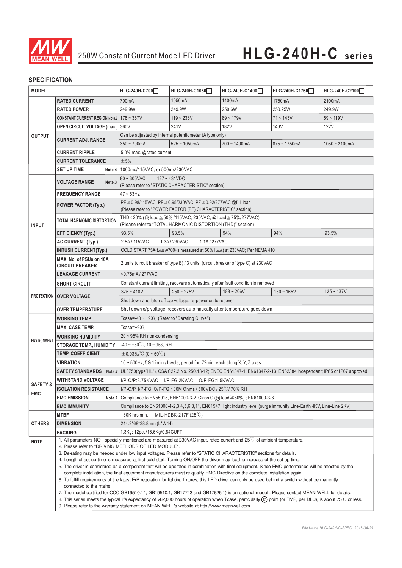

### **SPECIFICATION**

| <b>MODEL</b>                                                                                                                                    |                                                                                             | HLG-240H-C700                                                                                                                                                             | HLG-240H-C1050                | HLG-240H-C1400                                                                     | HLG-240H-C1750  | HLG-240H-C2100  |  |
|-------------------------------------------------------------------------------------------------------------------------------------------------|---------------------------------------------------------------------------------------------|---------------------------------------------------------------------------------------------------------------------------------------------------------------------------|-------------------------------|------------------------------------------------------------------------------------|-----------------|-----------------|--|
| <b>RATED CURRENT</b>                                                                                                                            |                                                                                             | 700mA                                                                                                                                                                     | 1050mA                        | 1400mA                                                                             | 1750mA          | 2100mA          |  |
|                                                                                                                                                 | <b>RATED POWER</b>                                                                          | 249.9W                                                                                                                                                                    | 249.9W                        | 250.6W                                                                             | 250.25W         | 249.9W          |  |
|                                                                                                                                                 | CONSTANT CURRENT REGION Note.2 178 ~ 357V                                                   |                                                                                                                                                                           | $119 - 238V$                  | $89 - 179V$                                                                        | $71 - 143V$     | $59 - 119V$     |  |
|                                                                                                                                                 | <b>OPEN CIRCUIT VOLTAGE (max.)</b> 360V                                                     |                                                                                                                                                                           | 241V                          | 182V                                                                               | 146V            | <b>122V</b>     |  |
| <b>OUTPUT</b>                                                                                                                                   |                                                                                             | Can be adjusted by internal potentiometer (A type only)                                                                                                                   |                               |                                                                                    |                 |                 |  |
|                                                                                                                                                 | <b>CURRENT ADJ. RANGE</b>                                                                   | $350 - 700$ mA                                                                                                                                                            | $525 - 1050mA$                | $700 - 1400mA$                                                                     | $875 - 1750$ mA | $1050 - 2100mA$ |  |
|                                                                                                                                                 | <b>CURRENT RIPPLE</b>                                                                       | 5.0% max. @rated current                                                                                                                                                  |                               |                                                                                    |                 |                 |  |
|                                                                                                                                                 | <b>CURRENT TOLERANCE</b>                                                                    | ±5%                                                                                                                                                                       |                               |                                                                                    |                 |                 |  |
| <b>SET UP TIME</b><br>Note.4   1000ms/115VAC, or 500ms/230VAC                                                                                   |                                                                                             |                                                                                                                                                                           |                               |                                                                                    |                 |                 |  |
|                                                                                                                                                 |                                                                                             | $90 \sim 305$ VAC<br>$127 - 431VDC$                                                                                                                                       |                               |                                                                                    |                 |                 |  |
|                                                                                                                                                 | <b>VOLTAGE RANGE</b><br>Note.3                                                              | (Please refer to "STATIC CHARACTERISTIC" section)                                                                                                                         |                               |                                                                                    |                 |                 |  |
|                                                                                                                                                 | <b>FREQUENCY RANGE</b>                                                                      | $47 \sim 63$ Hz                                                                                                                                                           |                               |                                                                                    |                 |                 |  |
|                                                                                                                                                 | <b>POWER FACTOR (Typ.)</b>                                                                  | PF ≥ 0.98/115VAC, PF ≥ 0.95/230VAC, PF ≥ 0.92/277VAC @full load                                                                                                           |                               |                                                                                    |                 |                 |  |
|                                                                                                                                                 |                                                                                             | (Please refer to "POWER FACTOR (PF) CHARACTERISTIC" section)                                                                                                              |                               |                                                                                    |                 |                 |  |
| <b>INPUT</b>                                                                                                                                    | TOTAL HARMONIC DISTORTION                                                                   | THD<20% (@ load≧50%/115VAC, 230VAC; @ load≧75%/277VAC)<br>(Please refer to "TOTAL HARMONIC DISTORTION (THD)" section)                                                     |                               |                                                                                    |                 |                 |  |
|                                                                                                                                                 | <b>EFFICIENCY (Typ.)</b>                                                                    | 93.5%                                                                                                                                                                     | 93.5%                         | 94%                                                                                | 94%             | 93.5%           |  |
|                                                                                                                                                 | AC CURRENT (Typ.)                                                                           | 2.5A/115VAC                                                                                                                                                               | 1.1A/277VAC<br>1.3A/230VAC    |                                                                                    |                 |                 |  |
|                                                                                                                                                 | <b>INRUSH CURRENT(Typ.)</b>                                                                 | COLD START 75A(twidth=700µs measured at 50% Ipeak) at 230VAC; Per NEMA 410                                                                                                |                               |                                                                                    |                 |                 |  |
|                                                                                                                                                 | MAX. No. of PSUs on 16A<br><b>CIRCUIT BREAKER</b>                                           | 2 units (circuit breaker of type B) / 3 units (circuit breaker of type C) at 230VAC                                                                                       |                               |                                                                                    |                 |                 |  |
|                                                                                                                                                 | <b>LEAKAGE CURRENT</b>                                                                      | <0.75mA/277VAC                                                                                                                                                            |                               |                                                                                    |                 |                 |  |
|                                                                                                                                                 | <b>SHORT CIRCUIT</b>                                                                        |                                                                                                                                                                           |                               | Constant current limiting, recovers automatically after fault condition is removed |                 |                 |  |
|                                                                                                                                                 |                                                                                             | $375 - 410V$                                                                                                                                                              | $250 - 275V$                  | $188 - 206V$                                                                       | $150 - 165V$    | $125 - 137V$    |  |
| <b>PROTECTION</b>                                                                                                                               | <b>OVER VOLTAGE</b>                                                                         | Shut down and latch off o/p voltage, re-power on to recover                                                                                                               |                               |                                                                                    |                 |                 |  |
|                                                                                                                                                 | <b>OVER TEMPERATURE</b>                                                                     | Shut down o/p voltage, recovers automatically after temperature goes down                                                                                                 |                               |                                                                                    |                 |                 |  |
| <b>WORKING TEMP.</b>                                                                                                                            |                                                                                             | Tcase=-40 $\sim$ +90°C (Refer to "Derating Curve")                                                                                                                        |                               |                                                                                    |                 |                 |  |
|                                                                                                                                                 | <b>MAX. CASE TEMP.</b>                                                                      | Tcase=+90 $°C$                                                                                                                                                            |                               |                                                                                    |                 |                 |  |
|                                                                                                                                                 | <b>WORKING HUMIDITY</b>                                                                     | $20 \sim 95\%$ RH non-condensing                                                                                                                                          |                               |                                                                                    |                 |                 |  |
| <b>ENVIRONMENT</b>                                                                                                                              | <b>STORAGE TEMP., HUMIDITY</b>                                                              | $-40 \sim +80^{\circ}$ C, 10 ~ 95% RH                                                                                                                                     |                               |                                                                                    |                 |                 |  |
|                                                                                                                                                 | <b>TEMP. COEFFICIENT</b>                                                                    | $\pm$ 0.03%/°C (0 ~ 50°C)                                                                                                                                                 |                               |                                                                                    |                 |                 |  |
|                                                                                                                                                 | VIBRATION                                                                                   | 10 $\sim$ 500Hz, 5G 12min./1 cycle, period for 72min. each along X, Y, Z axes                                                                                             |                               |                                                                                    |                 |                 |  |
|                                                                                                                                                 | <b>SAFETY STANDARDS</b>                                                                     | Note.7 UL8750(type"HL"), CSA C22.2 No. 250.13-12; ENEC EN61347-1, EN61347-2-13, EN62384 independent; IP65 or IP67 approved                                                |                               |                                                                                    |                 |                 |  |
| <b>WITHSTAND VOLTAGE</b>                                                                                                                        |                                                                                             | I/P-O/P:3.75KVAC I/P-FG:2KVAC O/P-FG:1.5KVAC                                                                                                                              |                               |                                                                                    |                 |                 |  |
| <b>SAFETY &amp;</b>                                                                                                                             | <b>ISOLATION RESISTANCE</b>                                                                 | I/P-O/P, I/P-FG, O/P-FG:100M Ohms / 500VDC / 25 °C / 70% RH                                                                                                               |                               |                                                                                    |                 |                 |  |
| <b>EMC</b>                                                                                                                                      | <b>EMC EMISSION</b><br>Note.7                                                               | Compliance to EN55015, EN61000-3-2 Class C (@ load $\geq$ 50%); EN61000-3-3                                                                                               |                               |                                                                                    |                 |                 |  |
|                                                                                                                                                 | <b>EMC IMMUNITY</b>                                                                         | Compliance to EN61000-4-2,3,4,5,6,8,11, EN61547, light industry level (surge immunity Line-Earth 4KV, Line-Line 2KV)                                                      |                               |                                                                                    |                 |                 |  |
|                                                                                                                                                 | <b>MTBF</b>                                                                                 | 180K hrs min.                                                                                                                                                             | MIL-HDBK-217F $(25^{\circ}C)$ |                                                                                    |                 |                 |  |
| <b>OTHERS</b>                                                                                                                                   | <b>DIMENSION</b>                                                                            | 244.2*68*38.8mm (L*W*H)                                                                                                                                                   |                               |                                                                                    |                 |                 |  |
|                                                                                                                                                 | <b>PACKING</b>                                                                              | 1.3Kg; 12pcs/16.6Kg/0.84CUFT                                                                                                                                              |                               |                                                                                    |                 |                 |  |
| 1. All parameters NOT specially mentioned are measured at 230VAC input, rated current and $25^{\circ}$ C of ambient temperature.<br><b>NOTE</b> |                                                                                             |                                                                                                                                                                           |                               |                                                                                    |                 |                 |  |
|                                                                                                                                                 |                                                                                             | 2. Please refer to "DRIVING METHODS OF LED MODULE".<br>3. De-rating may be needed under low input voltages. Please refer to "STATIC CHARACTERISTIC" sections for details. |                               |                                                                                    |                 |                 |  |
|                                                                                                                                                 |                                                                                             | 4. Length of set up time is measured at first cold start. Turning ON/OFF the driver may lead to increase of the set up time.                                              |                               |                                                                                    |                 |                 |  |
|                                                                                                                                                 |                                                                                             | 5. The driver is considered as a component that will be operated in combination with final equipment. Since EMC performance will be affected by the                       |                               |                                                                                    |                 |                 |  |
|                                                                                                                                                 |                                                                                             | complete installation, the final equipment manufacturers must re-qualify EMC Directive on the complete installation again.                                                |                               |                                                                                    |                 |                 |  |
|                                                                                                                                                 | connected to the mains.                                                                     | 6. To fulfill requirements of the latest ErP regulation for lighting fixtures, this LED driver can only be used behind a switch without permanently                       |                               |                                                                                    |                 |                 |  |
|                                                                                                                                                 |                                                                                             | 7. The model certified for CCC(GB19510.14, GB19510.1, GB17743 and GB17625.1) is an optional model . Please contact MEAN WELL for details.                                 |                               |                                                                                    |                 |                 |  |
|                                                                                                                                                 |                                                                                             | 8. This series meets the typical life expectancy of >62,000 hours of operation when Tcase, particularly (tc) point (or TMP, per DLC), is about 75℃ or less.               |                               |                                                                                    |                 |                 |  |
|                                                                                                                                                 | 9. Please refer to the warranty statement on MEAN WELL's website at http://www.meanwell.com |                                                                                                                                                                           |                               |                                                                                    |                 |                 |  |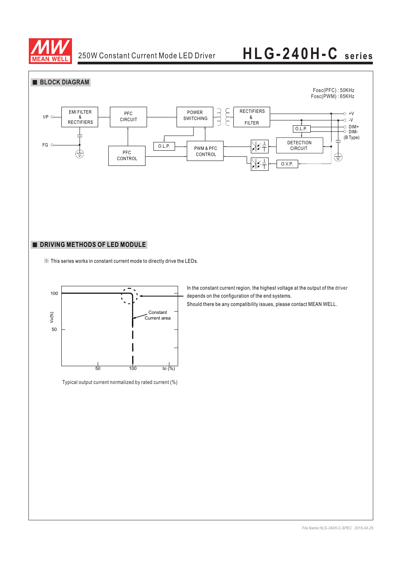

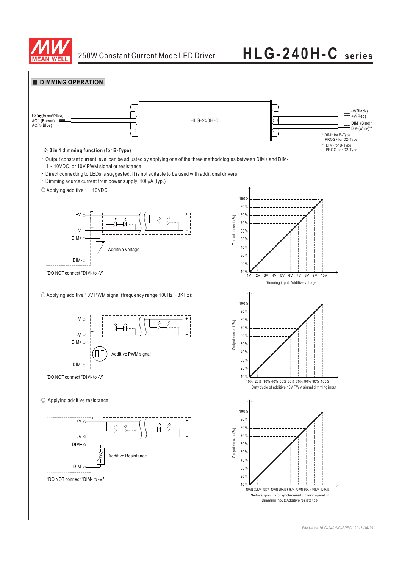



*File Name:HLG-240H-C-SPEC 2016-04-29*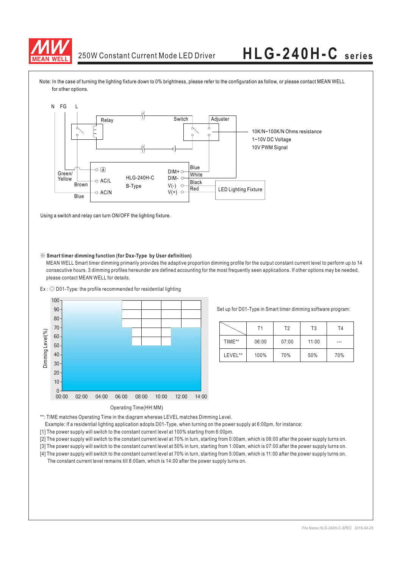

Note: In the case of turning the lighting fixture down to 0% brightness, please refer to the configuration as follow, or please contact MEAN WELL for other options.



Using a switch and relay can turn ON/OFF the lighting fixture.

#### ※ **Smart timer dimming function (for Dxx-Type by User definition)**

MEAN WELL Smart timer dimming primarily provides the adaptive proportion dimming profile for the output constant current level to perform up to 14 consecutive hours. 3 dimming profiles hereunder are defined accounting for the most frequently seen applications. If other options may be needed, please contact MEAN WELL for details.

 $Ex:  $\textcircled{D}$  D01-Type: the profile recommended for residential lighting$ 



Set up for D01-Type in Smart timer dimming software program:

|         | Τ1    | T2    | T <sub>3</sub> | T4  |
|---------|-------|-------|----------------|-----|
| TIME**  | 06:00 | 07:00 | 11:00          | --- |
| LEVEL** | 100%  | 70%   | 50%            | 70% |

\*\*: TIME matches Operating Time in the diagram whereas LEVEL matches Dimming Level.

- Example: If a residential lighting application adopts D01-Type, when turning on the power supply at 6:00pm, for instance:
- [1] The power supply will switch to the constant current level at 100% starting from 6:00pm.
- [2] The power supply will switch to the constant current level at 70% in turn, starting from 0:00am, which is 06:00 after the power supply turns on.
- [3] The power supply will switch to the constant current level at 50% in turn, starting from 1:00am, which is 07:00 after the power supply turns on.
- [4] The power supply will switch to the constant current level at 70% in turn, starting from 5:00am, which is 11:00 after the power supply turns on. The constant current level remains till 8:00am, which is 14:00 after the power supply turns on.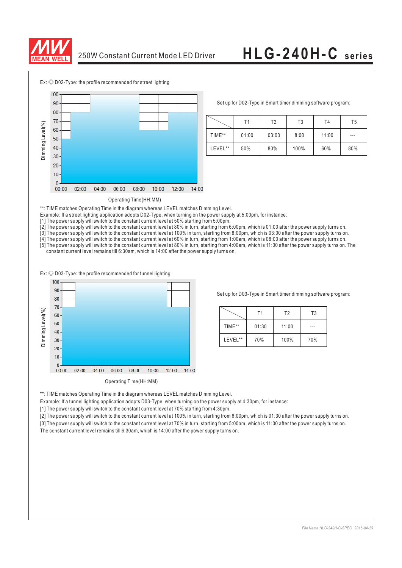



Set up for D02-Type in Smart timer dimming software program:

|         | Τ1    | Т2    | T <sub>3</sub> | T4    | T <sub>5</sub> |
|---------|-------|-------|----------------|-------|----------------|
| TIME**  | 01:00 | 03:00 | 8:00           | 11:00 | $---$          |
| LEVEL** | 50%   | 80%   | 100%           | 60%   | 80%            |

#### Operating Time(HH:MM)

\*\*: TIME matches Operating Time in the diagram whereas LEVEL matches Dimming Level.

Example: If a street lighting application adopts D02-Type, when turning on the power supply at 5:00pm, for instance:

[1] The power supply will switch to the constant current level at 50% starting from 5:00pm.

[2] The power supply will switch to the constant current level at 80% in turn, starting from 6:00pm, which is 01:00 after the power supply turns on.

[3] The power supply will switch to the constant current level at 100% in turn, starting from 8:00pm, which is 03:00 after the power supply turns on. [4] The power supply will switch to the constant current level at 60% in turn, starting from 1:00am, which is 08:00 after the power supply turns on.

[5] The power supply will switch to the constant current level at 80% in turn, starting from 4:00am, which is 11:00 after the power supply turns on. The constant current level remains till 6:30am, which is 14:00 after the power supply turns on.

 $Ex:  $\textcircled{D}$  D03-Type: the profile recommended for tunnel lighting$ 



Set up for D03-Type in Smart timer dimming software program:

|         | T1    | T <sub>2</sub> | T <sub>3</sub> |
|---------|-------|----------------|----------------|
| TIME**  | 01:30 | 11:00          |                |
| LEVEL** | 70%   | 100%           | 70%            |

\*\*: TIME matches Operating Time in the diagram whereas LEVEL matches Dimming Level.

Example: If a tunnel lighting application adopts D03-Type, when turning on the power supply at 4:30pm, for instance:

[1] The power supply will switch to the constant current level at 70% starting from 4:30pm.

[2] The power supply will switch to the constant current level at 100% in turn, starting from 6:00pm, which is 01:30 after the power supply turns on.

[3] The power supply will switch to the constant current level at 70% in turn, starting from 5:00am, which is 11:00 after the power supply turns on.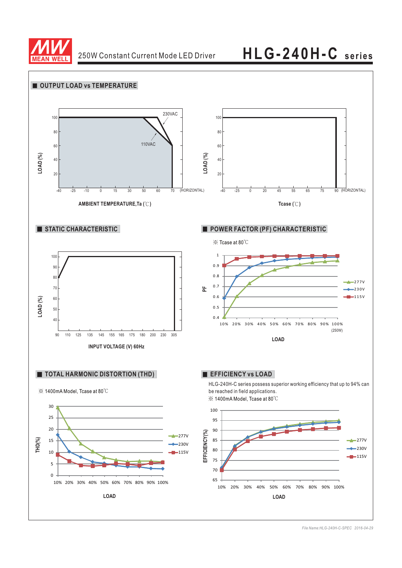

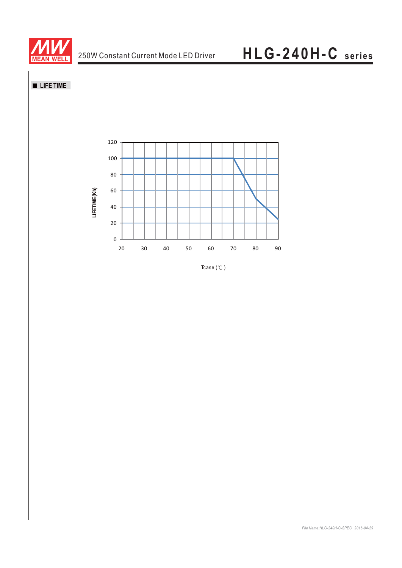

# **LIFE TIME**



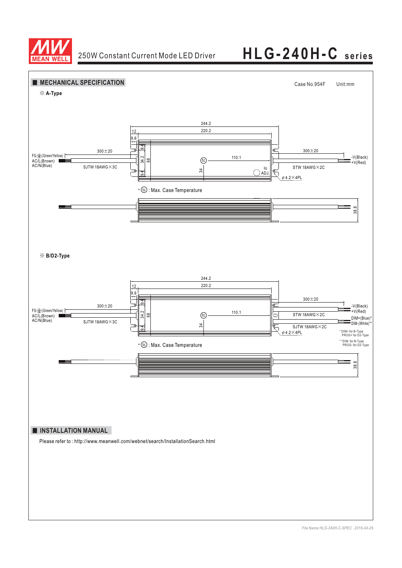